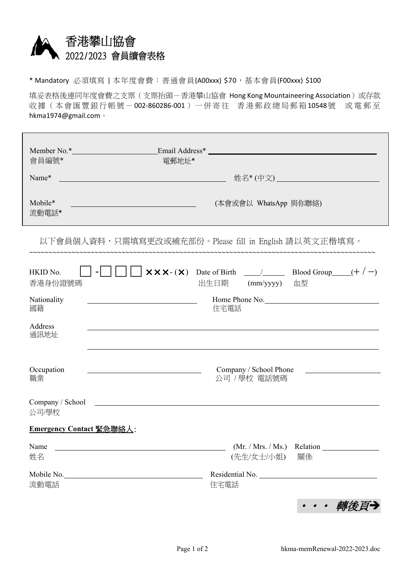

\* Mandatory 必須填寫 | 本年度會費︰普通會員(A00xxx) \$70,基本會員(F00xxx) \$100

填妥表格後連同年度會費之支票(支票抬頭-香港攀山協會 Hong Kong Mountaineering Association)或存款 收據(本會匯豐銀行帳號-002-860286-001)一併寄往 香港郵政總局郵箱10548號 或電郵至 hkma1974@gmail.com。

| 會員編號*                                                 | Member No.* Email Address*<br>電郵地址*                                                                                    |  |  |  |
|-------------------------------------------------------|------------------------------------------------------------------------------------------------------------------------|--|--|--|
| Name*                                                 |                                                                                                                        |  |  |  |
| Mobile*<br>流動電話*                                      | (本會或會以 WhatsApp 與你聯絡)                                                                                                  |  |  |  |
| 以下會員個人資料,只需填寫更改或補充部份。Please fill in English 請以英文正楷填寫。 |                                                                                                                        |  |  |  |
| HKID No.<br>香港身份證號碼                                   | 出生日期 (mm/yyyy) 血型                                                                                                      |  |  |  |
| Nationality<br>國籍                                     | Home Phone No.<br><u> 1989 - Johann Barn, mars eta biztanleria (</u><br>住宅電話                                           |  |  |  |
| Address<br>通訊地址                                       |                                                                                                                        |  |  |  |
| Occupation<br>職業                                      | Company / School Phone<br>公司 / 學校 電話號碼                                                                                 |  |  |  |
| Company / School<br>公司/學校                             | <u> 1980 - Johann John Stein, marwolaeth a breisinn a breisinn a breisinn a breisinn a breisinn a breisinn a breis</u> |  |  |  |
| Emergency Contact 緊急聯絡人:                              |                                                                                                                        |  |  |  |
| Name<br>姓名                                            | (Mr. / Mrs. / Ms.)<br>Relation<br>(先生/女士/小姐)<br>關係                                                                     |  |  |  |
| Mobile No.<br>流動電話                                    | Residential No.<br>住宅電話                                                                                                |  |  |  |
|                                                       | ・・・ 轉後頁→                                                                                                               |  |  |  |